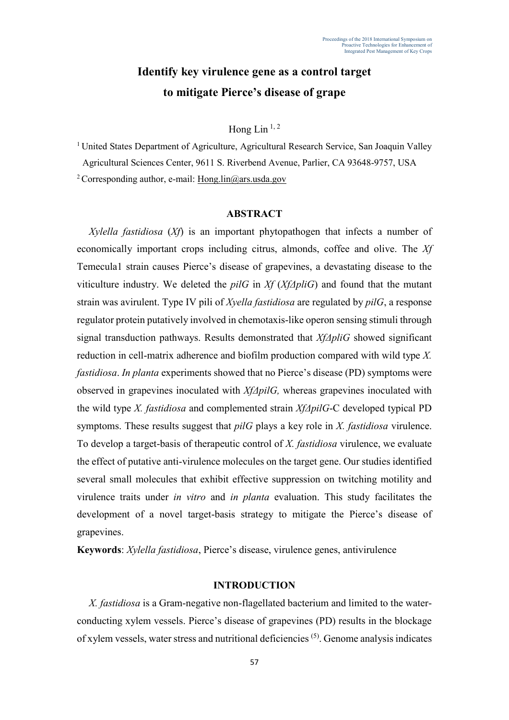# **Identify key virulence gene as a control target to mitigate Pierce's disease of grape**

# Hong Lin  $^{1, 2}$

<sup>1</sup> United States Department of Agriculture, Agricultural Research Service, San Joaquin Valley Agricultural Sciences Center, 9611 S. Riverbend Avenue, Parlier, CA 93648-9757, USA

<sup>2</sup> Corresponding author, e-mail: [Hong.lin@ars.usda.gov](mailto:Hong.lin@ars.usda.gov)

## **ABSTRACT**

*Xylella fastidiosa* (*Xf*) is an important phytopathogen that infects a number of economically important crops including citrus, almonds, coffee and olive. The *Xf*  Temecula1 strain causes Pierce's disease of grapevines, a devastating disease to the viticulture industry. We deleted the *pilG* in *Xf* (*XfΔpliG*) and found that the mutant strain was avirulent. Type IV pili of *Xyella fastidiosa* are regulated by *pilG*, a response regulator protein putatively involved in chemotaxis-like operon sensing stimuli through signal transduction pathways. Results demonstrated that *XfΔpliG* showed significant reduction in cell-matrix adherence and biofilm production compared with wild type *X. fastidiosa*. *In planta* experiments showed that no Pierce's disease (PD) symptoms were observed in grapevines inoculated with *XfΔpilG,* whereas grapevines inoculated with the wild type *X. fastidiosa* and complemented strain *XfΔpilG*-C developed typical PD symptoms. These results suggest that *pilG* plays a key role in *X. fastidiosa* virulence. To develop a target-basis of therapeutic control of *X. fastidiosa* virulence, we evaluate the effect of putative anti-virulence molecules on the target gene. Our studies identified several small molecules that exhibit effective suppression on twitching motility and virulence traits under *in vitro* and *in planta* evaluation. This study facilitates the development of a novel target-basis strategy to mitigate the Pierce's disease of grapevines.

**Keywords**: *Xylella fastidiosa*, Pierce's disease, virulence genes, antivirulence

## **INTRODUCTION**

*X. fastidiosa* is a Gram-negative non-flagellated bacterium and limited to the waterconducting xylem vessels. Pierce's disease of grapevines (PD) results in the blockage of xylem vessels, water stress and nutritional deficiencies (5). Genome analysis indicates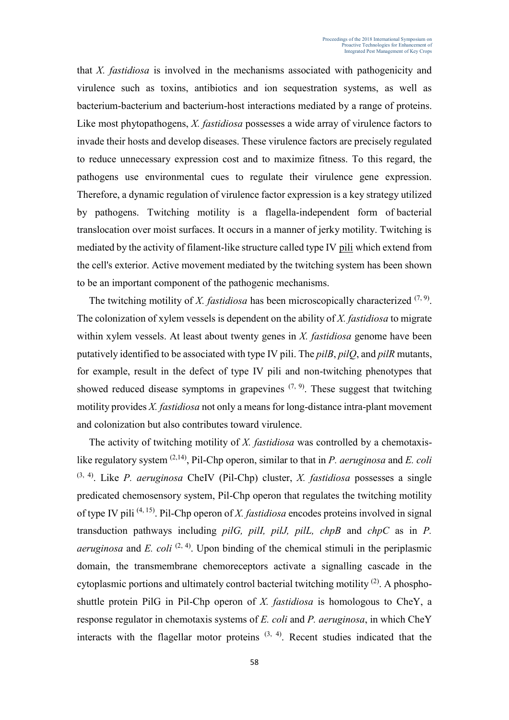that *X. fastidiosa* is involved in the mechanisms associated with pathogenicity and virulence such as toxins, antibiotics and ion sequestration systems, as well as bacterium-bacterium and bacterium-host interactions mediated by a range of proteins. Like most phytopathogens, *X. fastidiosa* possesses a wide array of virulence factors to invade their hosts and develop diseases. These virulence factors are precisely regulated to reduce unnecessary expression cost and to maximize fitness. To this regard, the pathogens use environmental cues to regulate their virulence gene expression. Therefore, a dynamic regulation of virulence factor expression is a key strategy utilized by pathogens. Twitching motility is a flagella-independent form of bacterial translocation over moist surfaces. It occurs in a manner of jerky motility. Twitching is mediated by the activity of filament-like structure called type IV [pili](https://en.wikipedia.org/wiki/Pilus) which extend from the cell's exterior. Active movement mediated by the twitching system has been shown to be an important component of the pathogenic mechanisms.

The twitching motility of *X. fastidiosa* has been microscopically characterized  $(7, 9)$ . The colonization of xylem vessels is dependent on the ability of *X. fastidiosa* to migrate within xylem vessels. At least about twenty genes in *X. fastidiosa* genome have been putatively identified to be associated with type IV pili. The *pilB*, *pilQ*, and *pilR* mutants, for example, result in the defect of type IV pili and non-twitching phenotypes that showed reduced disease symptoms in grapevines  $(7, 9)$ . These suggest that twitching motility provides *X. fastidiosa* not only a means for long-distance intra-plant movement and colonization but also contributes toward virulence.

The activity of twitching motility of *X. fastidiosa* was controlled by a chemotaxislike regulatory system (2,14), Pil-Chp operon, similar to that in *P. aeruginosa* and *E. coli* (3, 4). Like *P. aeruginosa* CheIV (Pil-Chp) cluster, *X. fastidiosa* possesses a single predicated chemosensory system, Pil-Chp operon that regulates the twitching motility of type IV pili (4, 15). Pil-Chp operon of *X. fastidiosa* encodes proteins involved in signal transduction pathways including *pilG, pilI, pilJ, pilL, chpB* and *chpC* as in *P. aeruginosa* and *E. coli*  $(2, 4)$ . Upon binding of the chemical stimuli in the periplasmic domain, the transmembrane chemoreceptors activate a signalling cascade in the cytoplasmic portions and ultimately control bacterial twitching motility  $(2)$ . A phosphoshuttle protein PilG in Pil-Chp operon of *X. fastidiosa* is homologous to CheY, a response regulator in chemotaxis systems of *E. coli* and *P. aeruginosa*, in which CheY interacts with the flagellar motor proteins  $(3, 4)$ . Recent studies indicated that the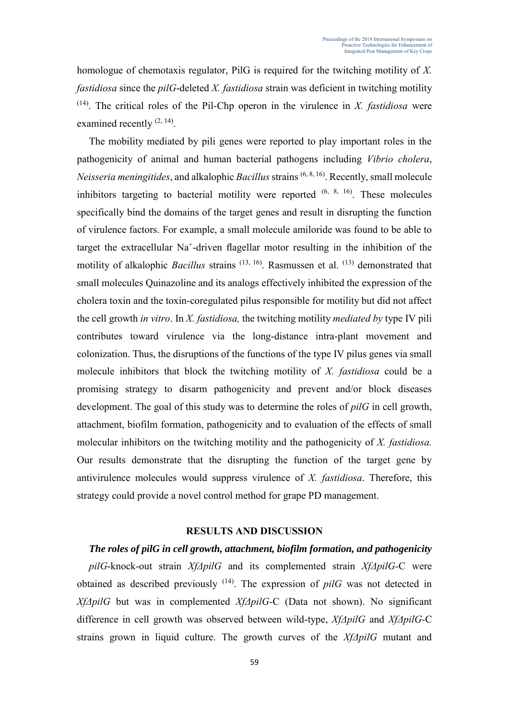homologue of chemotaxis regulator, PilG is required for the twitching motility of *X. fastidiosa* since the *pilG*-deleted *X. fastidiosa* strain was deficient in twitching motility  $(14)$ . The critical roles of the Pil-Chp operon in the virulence in *X. fastidiosa* were examined recently  $(2, 14)$ .

The mobility mediated by pili genes were reported to play important roles in the pathogenicity of animal and human bacterial pathogens including *Vibrio cholera*, *Neisseria meningitides*, and alkalophic *Bacillus* strains (6, 8, 16). Recently, small molecule inhibitors targeting to bacterial motility were reported  $(6, 8, 16)$ . These molecules specifically bind the domains of the target genes and result in disrupting the function of virulence factors. For example, a small molecule amiloride was found to be able to target the extracellular Na<sup>+</sup>-driven flagellar motor resulting in the inhibition of the motility of alkalophic *Bacillus* strains <sup>(13, 16)</sup>. Rasmussen et al. <sup>(13)</sup> demonstrated that small molecules Quinazoline and its analogs effectively inhibited the expression of the cholera toxin and the toxin-coregulated pilus responsible for motility but did not affect the cell growth *in vitro*. In *X. fastidiosa,* the twitching motility *mediated by* type IV pili contributes toward virulence via the long-distance intra-plant movement and colonization. Thus, the disruptions of the functions of the type IV pilus genes via small molecule inhibitors that block the twitching motility of *X. fastidiosa* could be a promising strategy to disarm pathogenicity and prevent and/or block diseases development. The goal of this study was to determine the roles of *pilG* in cell growth, attachment, biofilm formation, pathogenicity and to evaluation of the effects of small molecular inhibitors on the twitching motility and the pathogenicity of *X. fastidiosa.* Our results demonstrate that the disrupting the function of the target gene by antivirulence molecules would suppress virulence of *X. fastidiosa*. Therefore, this strategy could provide a novel control method for grape PD management.

## **RESULTS AND DISCUSSION**

## *The roles of pilG in cell growth, attachment, biofilm formation, and pathogenicity*

*pilG*-knock-out strain *XfΔpilG* and its complemented strain *XfΔpilG-*C were obtained as described previously (14). The expression of *pilG* was not detected in *XfΔpilG* but was in complemented *XfΔpilG-*C (Data not shown). No significant difference in cell growth was observed between wild-type, *XfΔpilG* and *XfΔpilG-*C strains grown in liquid culture. The growth curves of the *XfΔpilG* mutant and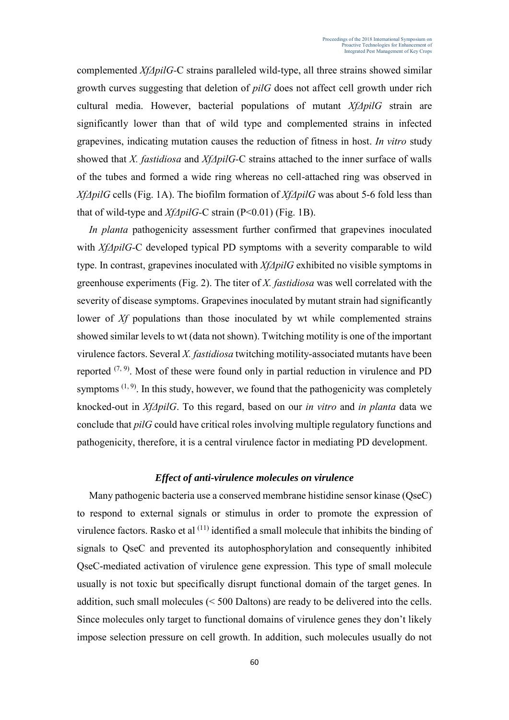complemented *XfΔpilG-*C strains paralleled wild-type, all three strains showed similar growth curves suggesting that deletion of *pilG* does not affect cell growth under rich cultural media. However, bacterial populations of mutant *XfΔpilG* strain are significantly lower than that of wild type and complemented strains in infected grapevines, indicating mutation causes the reduction of fitness in host. *In vitro* study showed that *X. fastidiosa* and *XfΔpilG-*C strains attached to the inner surface of walls of the tubes and formed a wide ring whereas no cell-attached ring was observed in *XfΔpilG* cells (Fig. 1A). The biofilm formation of *XfΔpilG* was about 5-6 fold less than that of wild-type and *XfΔpilG-*C strain (P<0.01) (Fig. 1B).

*In planta* pathogenicity assessment further confirmed that grapevines inoculated with *XfΔpilG-C* developed typical PD symptoms with a severity comparable to wild type. In contrast, grapevines inoculated with *XfΔpilG* exhibited no visible symptoms in greenhouse experiments (Fig. 2). The titer of *X. fastidiosa* was well correlated with the severity of disease symptoms. Grapevines inoculated by mutant strain had significantly lower of *Xf* populations than those inoculated by wt while complemented strains showed similar levels to wt (data not shown). Twitching motility is one of the important virulence factors. Several *X. fastidiosa* twitching motility-associated mutants have been reported  $(7, 9)$ . Most of these were found only in partial reduction in virulence and PD symptoms  $(1, 9)$ . In this study, however, we found that the pathogenicity was completely knocked-out in *XfΔpilG*. To this regard, based on our *in vitro* and *in planta* data we conclude that *pilG* could have critical roles involving multiple regulatory functions and pathogenicity, therefore, it is a central virulence factor in mediating PD development.

## *Effect of anti-virulence molecules on virulence*

Many pathogenic bacteria use a conserved membrane histidine sensor kinase (QseC) to respond to external signals or stimulus in order to promote the expression of virulence factors. Rasko et al  $(11)$  identified a small molecule that inhibits the binding of signals to QseC and prevented its autophosphorylation and consequently inhibited QseC-mediated activation of virulence gene expression. This type of small molecule usually is not toxic but specifically disrupt functional domain of the target genes. In addition, such small molecules (< 500 Daltons) are ready to be delivered into the cells. Since molecules only target to functional domains of virulence genes they don't likely impose selection pressure on cell growth. In addition, such molecules usually do not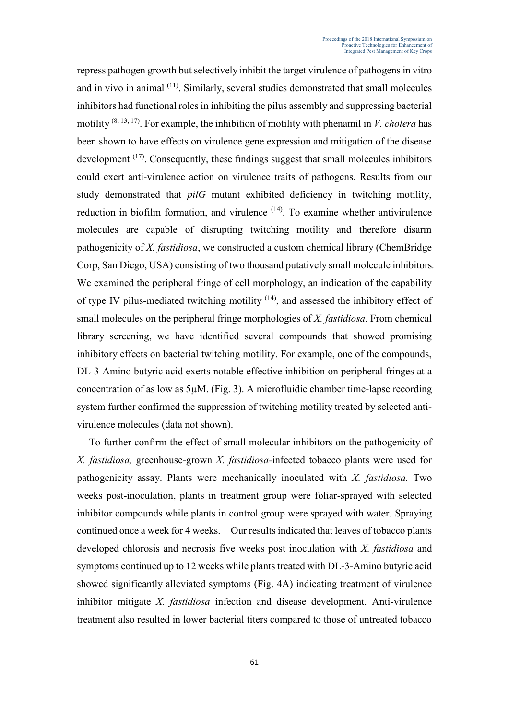repress pathogen growth but selectively inhibit the target virulence of pathogens in vitro and in vivo in animal (11). Similarly, several studies demonstrated that small molecules inhibitors had functional roles in inhibiting the pilus assembly and suppressing bacterial motility  $(8, 13, 17)$ . For example, the inhibition of motility with phenamil in *V. cholera* has been shown to have effects on virulence gene expression and mitigation of the disease development <sup>(17)</sup>. Consequently, these findings suggest that small molecules inhibitors could exert anti-virulence action on virulence traits of pathogens. Results from our study demonstrated that *pilG* mutant exhibited deficiency in twitching motility, reduction in biofilm formation, and virulence <sup>(14)</sup>. To examine whether antivirulence molecules are capable of disrupting twitching motility and therefore disarm pathogenicity of *X. fastidiosa*, we constructed a custom chemical library (ChemBridge Corp, San Diego, USA) consisting of two thousand putatively small molecule inhibitors*.*  We examined the peripheral fringe of cell morphology, an indication of the capability of type IV pilus-mediated twitching motility (14), and assessed the inhibitory effect of small molecules on the peripheral fringe morphologies of *X. fastidiosa*. From chemical library screening, we have identified several compounds that showed promising inhibitory effects on bacterial twitching motility. For example, one of the compounds, DL-3-Amino butyric acid exerts notable effective inhibition on peripheral fringes at a concentration of as low as 5µM. (Fig. 3). A microfluidic chamber time-lapse recording system further confirmed the suppression of twitching motility treated by selected antivirulence molecules (data not shown).

To further confirm the effect of small molecular inhibitors on the pathogenicity of *X. fastidiosa,* greenhouse-grown *X. fastidiosa-*infected tobacco plants were used for pathogenicity assay. Plants were mechanically inoculated with *X. fastidiosa.* Two weeks post-inoculation, plants in treatment group were foliar-sprayed with selected inhibitor compounds while plants in control group were sprayed with water. Spraying continued once a week for 4 weeks. Our results indicated that leaves of tobacco plants developed chlorosis and necrosis five weeks post inoculation with *X. fastidiosa* and symptoms continued up to 12 weeks while plants treated with DL-3-Amino butyric acid showed significantly alleviated symptoms (Fig. 4A) indicating treatment of virulence inhibitor mitigate *X. fastidiosa* infection and disease development. Anti-virulence treatment also resulted in lower bacterial titers compared to those of untreated tobacco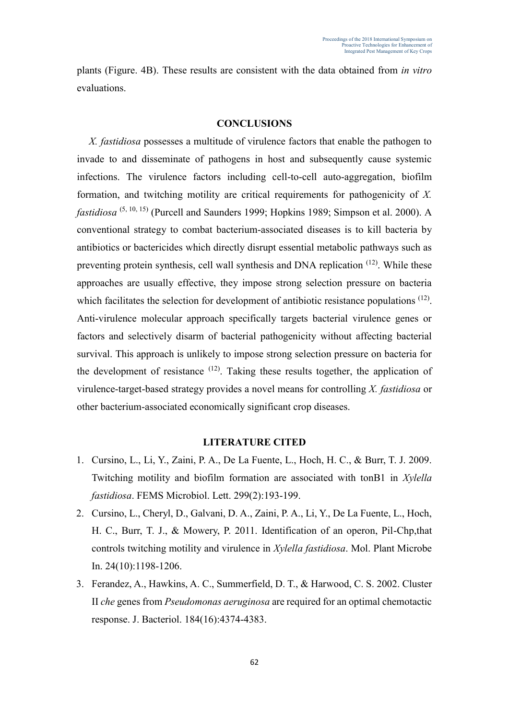plants (Figure. 4B). These results are consistent with the data obtained from *in vitro* evaluations.

## **CONCLUSIONS**

*X. fastidiosa* possesses a multitude of virulence factors that enable the pathogen to invade to and disseminate of pathogens in host and subsequently cause systemic infections. The virulence factors including cell-to-cell auto-aggregation, biofilm formation, and twitching motility are critical requirements for pathogenicity of *X. fastidiosa* (5, 10, 15) (Purcell and Saunders 1999; Hopkins 1989; Simpson et al. 2000). A conventional strategy to combat bacterium-associated diseases is to kill bacteria by antibiotics or bactericides which directly disrupt essential metabolic pathways such as preventing protein synthesis, cell wall synthesis and DNA replication (12). While these approaches are usually effective, they impose strong selection pressure on bacteria which facilitates the selection for development of antibiotic resistance populations <sup>(12)</sup>. Anti-virulence molecular approach specifically targets bacterial virulence genes or factors and selectively disarm of bacterial pathogenicity without affecting bacterial survival. This approach is unlikely to impose strong selection pressure on bacteria for the development of resistance  $(12)$ . Taking these results together, the application of virulence-target-based strategy provides a novel means for controlling *X. fastidiosa* or other bacterium-associated economically significant crop diseases.

#### **LITERATURE CITED**

- 1. Cursino, L., Li, Y., Zaini, P. A., De La Fuente, L., Hoch, H. C., & Burr, T. J. 2009. Twitching motility and biofilm formation are associated with tonB1 in *Xylella fastidiosa*. FEMS Microbiol. Lett. 299(2):193-199.
- 2. Cursino, L., Cheryl, D., Galvani, D. A., Zaini, P. A., Li, Y., De La Fuente, L., Hoch, H. C., Burr, T. J., & Mowery, P. 2011. Identification of an operon, Pil-Chp,that controls twitching motility and virulence in *Xylella fastidiosa*. Mol. Plant Microbe In. 24(10):1198-1206.
- 3. Ferandez, A., Hawkins, A. C., Summerfield, D. T., & Harwood, C. S. 2002. Cluster II *che* genes from *Pseudomonas aeruginosa* are required for an optimal chemotactic response. J. Bacteriol. 184(16):4374-4383.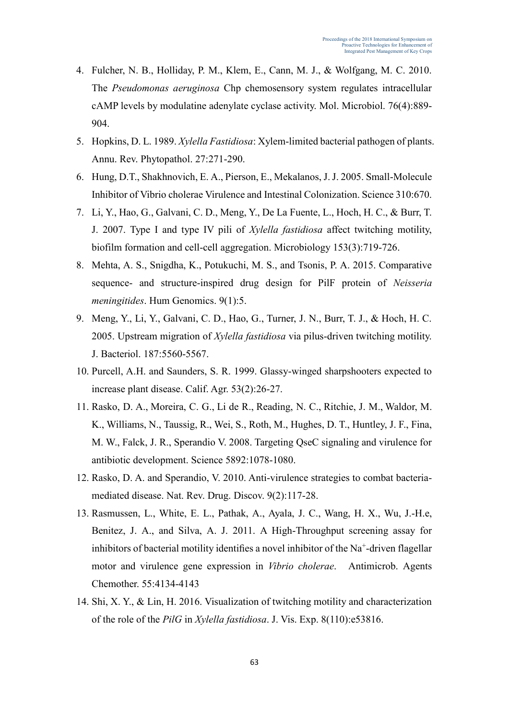- 4. Fulcher, N. B., Holliday, P. M., Klem, E., Cann, M. J., & Wolfgang, M. C. 2010. The *Pseudomonas aeruginosa* Chp chemosensory system regulates intracellular cAMP levels by modulatine adenylate cyclase activity. Mol. Microbiol. 76(4):889- 904.
- 5. Hopkins, D. L. 1989. *Xylella Fastidiosa*: Xylem-limited bacterial pathogen of plants. Annu. Rev. Phytopathol. 27:271-290.
- 6. Hung, D.T., Shakhnovich, E. A., Pierson, E., Mekalanos, J. J. 2005. Small-Molecule Inhibitor of Vibrio cholerae Virulence and Intestinal Colonization. Science 310:670.
- 7. Li, Y., Hao, G., Galvani, C. D., Meng, Y., De La Fuente, L., Hoch, H. C., & Burr, T. J. 2007. Type I and type IV pili of *Xylella fastidiosa* affect twitching motility, biofilm formation and cell-cell aggregation. Microbiology 153(3):719-726.
- 8. Mehta, A. S., Snigdha, K., Potukuchi, [M. S.,](https://www.ncbi.nlm.nih.gov/pubmed/?term=Potukuchi%20MS%5BAuthor%5D&cauthor=true&cauthor_uid=25928839) and Tsonis, [P. A.](https://www.ncbi.nlm.nih.gov/pubmed/?term=Tsonis%20PA%5BAuthor%5D&cauthor=true&cauthor_uid=25928839) 2015. Comparative sequence- and structure-inspired drug design for PilF protein of *Neisseria meningitides*. [Hum Genomics.](https://www.ncbi.nlm.nih.gov/pmc/articles/PMC4425860/) 9(1):5.
- 9. Meng, Y., Li, Y., Galvani, C. D., Hao, G., Turner, J. N., Burr, T. J., & Hoch, H. C. 2005. Upstream migration of *Xylella fastidiosa* via pilus-driven twitching motility. J. Bacteriol. 187:5560-5567.
- 10. Purcell, A.H. and Saunders, S. R. 1999. Glassy-winged sharpshooters expected to increase plant disease. Calif. Agr. 53(2):26-27.
- 11. [Rasko, D. A.](https://www.ncbi.nlm.nih.gov/pubmed/?term=Rasko%20DA%5BAuthor%5D&cauthor=true&cauthor_uid=18719281), [Moreira, C. G.](https://www.ncbi.nlm.nih.gov/pubmed/?term=Moreira%20CG%5BAuthor%5D&cauthor=true&cauthor_uid=18719281), [Li de R.](https://www.ncbi.nlm.nih.gov/pubmed/?term=Li%20de%20R%5BAuthor%5D&cauthor=true&cauthor_uid=18719281), [Reading, N. C.](https://www.ncbi.nlm.nih.gov/pubmed/?term=Reading%20NC%5BAuthor%5D&cauthor=true&cauthor_uid=18719281), [Ritchie, J. M.](https://www.ncbi.nlm.nih.gov/pubmed/?term=Ritchie%20JM%5BAuthor%5D&cauthor=true&cauthor_uid=18719281), [Waldor, M.](https://www.ncbi.nlm.nih.gov/pubmed/?term=Waldor%20MK%5BAuthor%5D&cauthor=true&cauthor_uid=18719281)  [K.](https://www.ncbi.nlm.nih.gov/pubmed/?term=Waldor%20MK%5BAuthor%5D&cauthor=true&cauthor_uid=18719281), [Williams, N.](https://www.ncbi.nlm.nih.gov/pubmed/?term=Williams%20N%5BAuthor%5D&cauthor=true&cauthor_uid=18719281), [Taussig, R.](https://www.ncbi.nlm.nih.gov/pubmed/?term=Taussig%20R%5BAuthor%5D&cauthor=true&cauthor_uid=18719281), [Wei, S.](https://www.ncbi.nlm.nih.gov/pubmed/?term=Wei%20S%5BAuthor%5D&cauthor=true&cauthor_uid=18719281), [Roth, M.](https://www.ncbi.nlm.nih.gov/pubmed/?term=Roth%20M%5BAuthor%5D&cauthor=true&cauthor_uid=18719281), [Hughes, D. T.](https://www.ncbi.nlm.nih.gov/pubmed/?term=Hughes%20DT%5BAuthor%5D&cauthor=true&cauthor_uid=18719281), [Huntley, J. F.](https://www.ncbi.nlm.nih.gov/pubmed/?term=Huntley%20JF%5BAuthor%5D&cauthor=true&cauthor_uid=18719281), [Fina,](https://www.ncbi.nlm.nih.gov/pubmed/?term=Fina%20MW%5BAuthor%5D&cauthor=true&cauthor_uid=18719281)  [M. W.](https://www.ncbi.nlm.nih.gov/pubmed/?term=Fina%20MW%5BAuthor%5D&cauthor=true&cauthor_uid=18719281), [Falck, J. R.](https://www.ncbi.nlm.nih.gov/pubmed/?term=Falck%20JR%5BAuthor%5D&cauthor=true&cauthor_uid=18719281), [Sperandio V.](https://www.ncbi.nlm.nih.gov/pubmed/?term=Sperandio%20V%5BAuthor%5D&cauthor=true&cauthor_uid=18719281) 2008. Targeting QseC signaling and virulence for antibiotic development. [Science](https://www.ncbi.nlm.nih.gov/pubmed/18719281) 5892:1078-1080.
- 12. Rasko, D. A. and Sperandio, V. 2010. Anti-virulence strategies to combat bacteriamediated disease. Nat. Rev. Drug. Discov. 9(2):117-28.
- 13. Rasmussen, L., White, E. L., Pathak, A., Ayala, J. C., Wang, H. X., Wu, J.-H.e, Benitez, J. A., and Silva, A. J. 2011. A High-Throughput screening assay for inhibitors of bacterial motility identifies a novel inhibitor of the  $Na^+$ -driven flagellar motor and virulence gene expression in *Vibrio cholerae*. Antimicrob. Agents Chemother. 55:4134-4143
- 14. Shi, X. Y., & Lin, H. 2016. Visualization of twitching motility and characterization of the role of the *PilG* in *Xylella fastidiosa*. J. Vis. Exp. 8(110):e53816.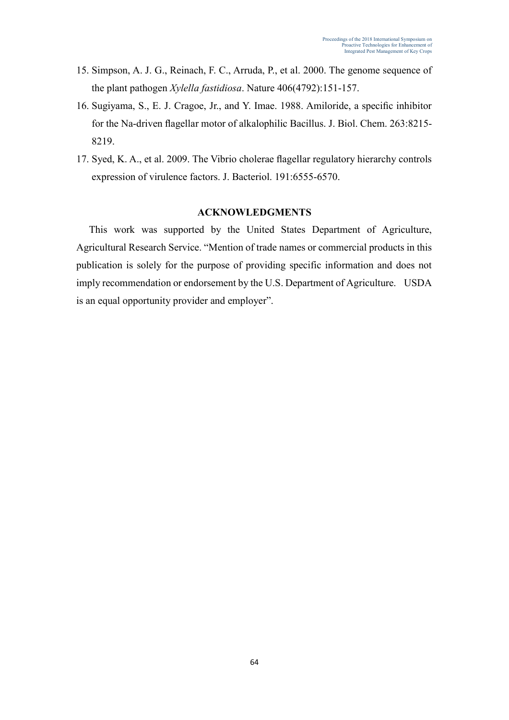- 15. Simpson, A. J. G., Reinach, F. C., Arruda, P., et al. 2000. The genome sequence of the plant pathogen *Xylella fastidiosa*. Nature 406(4792):151-157.
- 16. Sugiyama, S., E. J. Cragoe, Jr., and Y. Imae. 1988. Amiloride, a specific inhibitor for the Na-driven flagellar motor of alkalophilic Bacillus. J. Biol. Chem. 263:8215- 8219.
- 17. Syed, K. A., et al. 2009. The Vibrio cholerae flagellar regulatory hierarchy controls expression of virulence factors. J. Bacteriol. 191:6555-6570.

# **ACKNOWLEDGMENTS**

This work was supported by the United States Department of Agriculture, Agricultural Research Service. "Mention of trade names or commercial products in this publication is solely for the purpose of providing specific information and does not imply recommendation or endorsement by the U.S. Department of Agriculture. USDA is an equal opportunity provider and employer".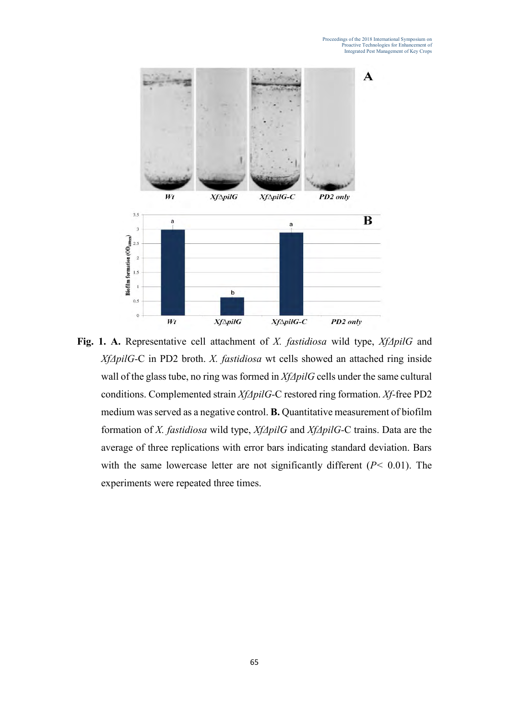

**Fig. 1. A.** Representative cell attachment of *X. fastidiosa* wild type, *XfΔpilG* and *XfΔpilG-*C in PD2 broth. *X. fastidiosa* wt cells showed an attached ring inside wall of the glass tube, no ring was formed in *XfΔpilG* cells under the same cultural conditions. Complemented strain *XfΔpilG-*C restored ring formation. *Xf-*free PD2 medium was served as a negative control. **B.** Quantitative measurement of biofilm formation of *X. fastidiosa* wild type, *XfΔpilG* and *XfΔpilG-*C trains. Data are the average of three replications with error bars indicating standard deviation. Bars with the same lowercase letter are not significantly different (*P<* 0.01). The experiments were repeated three times.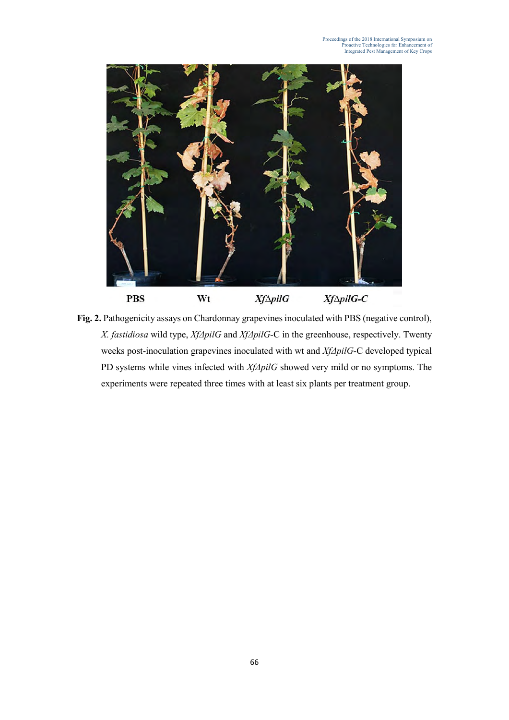

Fig. 2. Pathogenicity assays on Chardonnay grapevines inoculated with PBS (negative control), *X. fastidiosa* wild type, *XfΔpilG* and *XfΔpilG-*C in the greenhouse, respectively. Twenty weeks post-inoculation grapevines inoculated with wt and *XfΔpilG-*C developed typical PD systems while vines infected with *XfΔpilG* showed very mild or no symptoms. The experiments were repeated three times with at least six plants per treatment group.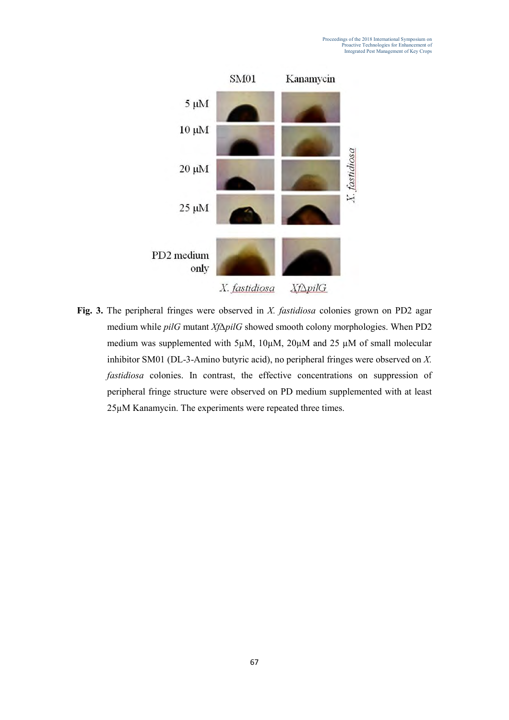

**Fig. 3.** The peripheral fringes were observed in *X. fastidiosa* colonies grown on PD2 agar medium while *pilG* mutant *Xf∆pilG* showed smooth colony morphologies. When PD2 medium was supplemented with  $5\mu$ M,  $10\mu$ M,  $20\mu$ M and  $25 \mu$ M of small molecular inhibitor SM01 (DL-3-Amino butyric acid), no peripheral fringes were observed on *X. fastidiosa* colonies. In contrast, the effective concentrations on suppression of peripheral fringe structure were observed on PD medium supplemented with at least 25µM Kanamycin. The experiments were repeated three times.